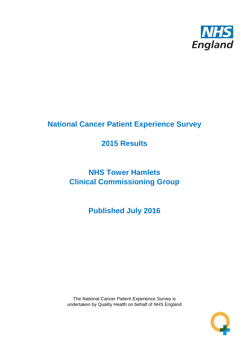

## **National Cancer Patient Experience Survey**

## **2015 Results**

# **NHS Tower Hamlets Clinical Commissioning Group**

**Published July 2016**

The National Cancer Patient Experience Survey is undertaken by Quality Health on behalf of NHS England

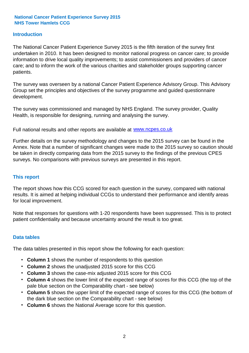#### **Introduction**

The National Cancer Patient Experience Survey 2015 is the fifth iteration of the survey first undertaken in 2010. It has been designed to monitor national progress on cancer care; to provide information to drive local quality improvements; to assist commissioners and providers of cancer care; and to inform the work of the various charities and stakeholder groups supporting cancer patients.

The survey was overseen by a national Cancer Patient Experience Advisory Group. This Advisory Group set the principles and objectives of the survey programme and guided questionnaire development.

The survey was commissioned and managed by NHS England. The survey provider, Quality Health, is responsible for designing, running and analysing the survey.

Full national results and other reports are available at www.ncpes.co.uk

Further details on the survey methodology and changes to the 2015 survey can be found in the Annex. Note that a number of significant changes were made to the 2015 survey so caution should be taken in directly comparing data from the 2015 survey to the findings of the previous CPES surveys. No comparisons with previous surveys are presented in this report.

#### **This report**

The report shows how this CCG scored for each question in the survey, compared with national results. It is aimed at helping individual CCGs to understand their performance and identify areas for local improvement.

Note that responses for questions with 1-20 respondents have been suppressed. This is to protect patient confidentiality and because uncertainty around the result is too great.

#### **Data tables**

The data tables presented in this report show the following for each question:

- **Column 1** shows the number of respondents to this question
- **Column 2** shows the unadjusted 2015 score for this CCG
- **Column 3** shows the case-mix adjusted 2015 score for this CCG
- **Column 4** shows the lower limit of the expected range of scores for this CCG (the top of the pale blue section on the Comparability chart - see below)
- **Column 5** shows the upper limit of the expected range of scores for this CCG (the bottom of the dark blue section on the Comparability chart - see below)
- **Column 6** shows the National Average score for this question.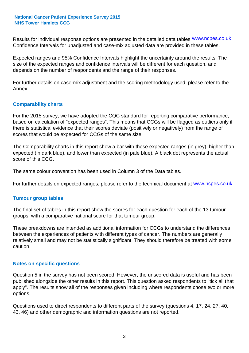Results for individual response options are presented in the detailed data tables **WWW.ncpes.co.uk** Confidence Intervals for unadjusted and case-mix adjusted data are provided in these tables.

Expected ranges and 95% Confidence Intervals highlight the uncertainty around the results. The size of the expected ranges and confidence intervals will be different for each question, and depends on the number of respondents and the range of their responses.

For further details on case-mix adjustment and the scoring methodology used, please refer to the Annex.

#### **Comparability charts**

For the 2015 survey, we have adopted the CQC standard for reporting comparative performance, based on calculation of "expected ranges". This means that CCGs will be flagged as outliers only if there is statistical evidence that their scores deviate (positively or negatively) from the range of scores that would be expected for CCGs of the same size.

The Comparability charts in this report show a bar with these expected ranges (in grey), higher than expected (in dark blue), and lower than expected (in pale blue). A black dot represents the actual score of this CCG.

The same colour convention has been used in Column 3 of the Data tables.

For further details on expected ranges, please refer to the technical document at **www.ncpes.co.uk** 

#### **Tumour group tables**

The final set of tables in this report show the scores for each question for each of the 13 tumour groups, with a comparative national score for that tumour group.

These breakdowns are intended as additional information for CCGs to understand the differences between the experiences of patients with different types of cancer. The numbers are generally relatively small and may not be statistically significant. They should therefore be treated with some caution.

#### **Notes on specific questions**

Question 5 in the survey has not been scored. However, the unscored data is useful and has been published alongside the other results in this report. This question asked respondents to "tick all that apply". The results show all of the responses given including where respondents chose two or more options.

Questions used to direct respondents to different parts of the survey (questions 4, 17, 24, 27, 40, 43, 46) and other demographic and information questions are not reported.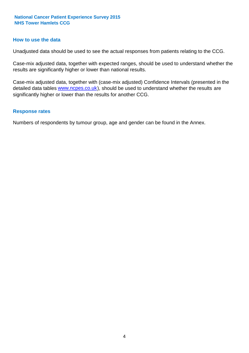#### **How to use the data**

Unadjusted data should be used to see the actual responses from patients relating to the CCG.

Case-mix adjusted data, together with expected ranges, should be used to understand whether the results are significantly higher or lower than national results.

Case-mix adjusted data, together with (case-mix adjusted) Confidence Intervals (presented in the detailed data tables **www.ncpes.co.uk**), should be used to understand whether the results are significantly higher or lower than the results for another CCG.

#### **Response rates**

Numbers of respondents by tumour group, age and gender can be found in the Annex.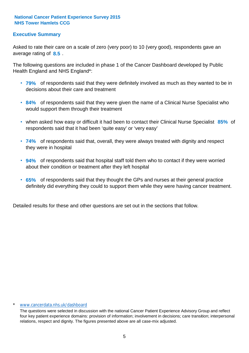#### **Executive Summary**

average rating of **8.5**. Asked to rate their care on a scale of zero (very poor) to 10 (very good), respondents gave an

The following questions are included in phase 1 of the Cancer Dashboard developed by Public Health England and NHS England\*:

- **79%** of respondents said that they were definitely involved as much as they wanted to be in decisions about their care and treatment
- **84%** of respondents said that they were given the name of a Clinical Nurse Specialist who would support them through their treatment
- when asked how easy or difficult it had been to contact their Clinical Nurse Specialist 85% of respondents said that it had been 'quite easy' or 'very easy'
- **74%** of respondents said that, overall, they were always treated with dignity and respect they were in hospital
- **94%** of respondents said that hospital staff told them who to contact if they were worried about their condition or treatment after they left hospital
- **65%** of respondents said that they thought the GPs and nurses at their general practice definitely did everything they could to support them while they were having cancer treatment.

Detailed results for these and other questions are set out in the sections that follow.

#### \* www.cancerdata.nhs.uk/dashboard

The questions were selected in discussion with the national Cancer Patient Experience Advisory Group and reflect four key patient experience domains: provision of information; involvement in decisions; care transition; interpersonal relations, respect and dignity. The figures presented above are all case-mix adjusted.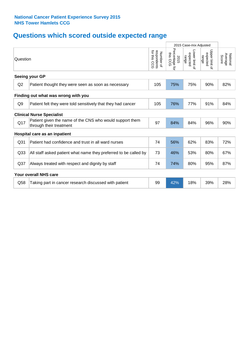## **Questions which scored outside expected range**

|                                  |                                                                                     |                                             | 2015 Case-mix Adjusted              |                                     |                                     |                              |
|----------------------------------|-------------------------------------------------------------------------------------|---------------------------------------------|-------------------------------------|-------------------------------------|-------------------------------------|------------------------------|
| Question                         |                                                                                     | for this<br>respondents<br>Number of<br>ccc | Percentage<br>this CCG<br>2015<br>ą | Lower limit of<br>expected<br>range | Upper limit of<br>expected<br>range | National<br>Average<br>Score |
|                                  | Seeing your GP                                                                      |                                             |                                     |                                     |                                     |                              |
| Q2                               | Patient thought they were seen as soon as necessary                                 | 105                                         | 75%                                 | 75%                                 | 90%                                 | 82%                          |
|                                  | Finding out what was wrong with you                                                 |                                             |                                     |                                     |                                     |                              |
| Q <sub>9</sub>                   | Patient felt they were told sensitively that they had cancer                        | 105                                         | 76%                                 | 77%                                 | 91%                                 | 84%                          |
| <b>Clinical Nurse Specialist</b> |                                                                                     |                                             |                                     |                                     |                                     |                              |
| Q17                              | Patient given the name of the CNS who would support them<br>through their treatment | 97                                          | 84%                                 | 84%                                 | 96%                                 | 90%                          |
|                                  | Hospital care as an inpatient                                                       |                                             |                                     |                                     |                                     |                              |
| Q <sub>31</sub>                  | Patient had confidence and trust in all ward nurses                                 | 74                                          | 56%                                 | 62%                                 | 83%                                 | 72%                          |
| Q <sub>33</sub>                  | All staff asked patient what name they preferred to be called by                    | 73                                          | 46%                                 | 53%                                 | 80%                                 | 67%                          |
| Q <sub>37</sub>                  | Always treated with respect and dignity by staff                                    | 74                                          | 74%                                 | 80%                                 | 95%                                 | 87%                          |
|                                  | Your overall NHS care                                                               |                                             |                                     |                                     |                                     |                              |
| Q58                              | Taking part in cancer research discussed with patient                               | 99                                          | 42%                                 | 18%                                 | 39%                                 | 28%                          |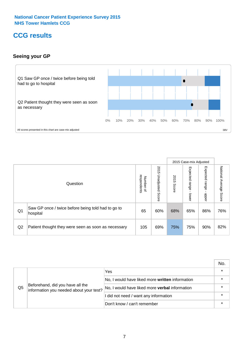## **CCG results**

#### **Seeing your GP**



|    |                                                                |                                         |                             |               | 2015 Case-mix Adjusted     |                            |                        |
|----|----------------------------------------------------------------|-----------------------------------------|-----------------------------|---------------|----------------------------|----------------------------|------------------------|
|    | Question                                                       | respondents<br>Number<br>$\overline{a}$ | 2015<br>Unadjusted<br>Score | 2015<br>Score | Expected<br>range<br>lower | Expected<br>range<br>nbber | National Average Score |
| Q1 | Saw GP once / twice before being told had to go to<br>hospital | 65                                      | 60%                         | 68%           | 65%                        | 86%                        | 76%                    |
| Q2 | Patient thought they were seen as soon as necessary            | 105                                     | 69%                         | 75%           | 75%                        | 90%                        | 82%                    |

|    |                                                                             |                                                 | No. |
|----|-----------------------------------------------------------------------------|-------------------------------------------------|-----|
|    | Beforehand, did you have all the<br>information you needed about your test? | Yes                                             |     |
| Q5 |                                                                             | No, I would have liked more written information |     |
|    |                                                                             | No, I would have liked more verbal information  |     |
|    |                                                                             | I did not need / want any information           |     |
|    |                                                                             | Don't know / can't remember                     |     |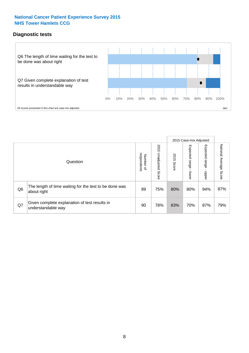#### **Diagnostic tests**



|                |                                                                       |                                    |                             |               | 2015 Case-mix Adjusted  |                         |                           |
|----------------|-----------------------------------------------------------------------|------------------------------------|-----------------------------|---------------|-------------------------|-------------------------|---------------------------|
|                | Question                                                              | Number of<br>respondents<br>Number | 2015<br>Unadjusted<br>Score | 2015<br>Score | Expected range<br>lower | Expected range<br>nbber | National Average<br>Score |
| Q <sub>6</sub> | The length of time waiting for the test to be done was<br>about right | 89                                 | 75%                         | 80%           | 80%                     | 94%                     | 87%                       |
| Q7             | Given complete explanation of test results in<br>understandable way   | 90                                 | 78%                         | 83%           | 70%                     | 87%                     | 79%                       |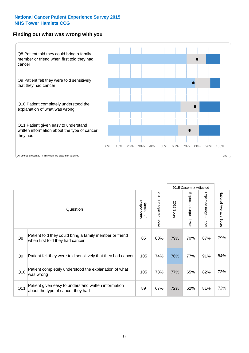#### **Finding out what was wrong with you**



|                |                                                                                            |                          |                                 |                      | 2015 Case-mix Adjusted                    |                                         |                        |
|----------------|--------------------------------------------------------------------------------------------|--------------------------|---------------------------------|----------------------|-------------------------------------------|-----------------------------------------|------------------------|
|                | Question                                                                                   | respondents<br>Number of | 2015<br><b>Unadjusted Score</b> | 2015<br><b>Score</b> | Expected range<br>$\blacksquare$<br>lower | Expected range<br>$\blacksquare$<br>ddo | National Average Score |
| Q8             | Patient told they could bring a family member or friend<br>when first told they had cancer | 85                       | 80%                             | 79%                  | 70%                                       | 87%                                     | 79%                    |
| Q <sub>9</sub> | Patient felt they were told sensitively that they had cancer                               | 105                      | 74%                             | 76%                  | 77%                                       | 91%                                     | 84%                    |
| Q10            | Patient completely understood the explanation of what<br>was wrong                         | 105                      | 73%                             | 77%                  | 65%                                       | 82%                                     | 73%                    |
| Q11            | Patient given easy to understand written information<br>about the type of cancer they had  | 89                       | 67%                             | 72%                  | 62%                                       | 81%                                     | 72%                    |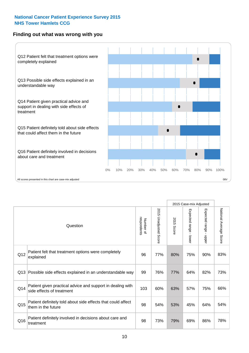#### **Finding out what was wrong with you**



|          |                                                                                         |                          |                          |               | 2015 Case-mix Adjusted                  |                        |                        |
|----------|-----------------------------------------------------------------------------------------|--------------------------|--------------------------|---------------|-----------------------------------------|------------------------|------------------------|
| Question |                                                                                         | Number of<br>respondents | 2015<br>Unadjusted Score | 2015<br>Score | Expected range<br>$\mathbf{I}$<br>lower | Expected range - upper | National Average Score |
| Q12      | Patient felt that treatment options were completely<br>explained                        | 96                       | 77%                      | 80%           | 75%                                     | 90%                    | 83%                    |
| Q13      | Possible side effects explained in an understandable way                                | 99                       | 76%                      | 77%           | 64%                                     | 82%                    | 73%                    |
| Q14      | Patient given practical advice and support in dealing with<br>side effects of treatment | 103                      | 60%                      | 63%           | 57%                                     | 75%                    | 66%                    |
| Q15      | Patient definitely told about side effects that could affect<br>them in the future      | 98                       | 54%                      | 53%           | 45%                                     | 64%                    | 54%                    |
| Q16      | Patient definitely involved in decisions about care and<br>treatment                    | 98                       | 73%                      | 79%           | 69%                                     | 86%                    | 78%                    |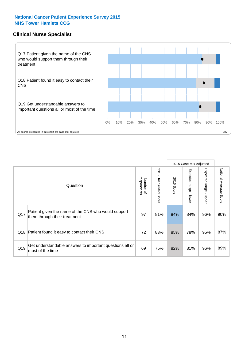#### **Clinical Nurse Specialist**



|     |                                                                                     |                          |                       |               | 2015 Case-mix Adjusted  |                         |                        |
|-----|-------------------------------------------------------------------------------------|--------------------------|-----------------------|---------------|-------------------------|-------------------------|------------------------|
|     | Question                                                                            | respondents<br>Number of | 2015 Unadjusted Score | 2015<br>Score | Expected range<br>lower | Expected range<br>nbber | National Average Score |
| Q17 | Patient given the name of the CNS who would support<br>them through their treatment | 97                       | 81%                   | 84%           | 84%                     | 96%                     | 90%                    |
|     | Q18 Patient found it easy to contact their CNS                                      | 72                       | 83%                   | 85%           | 78%                     | 95%                     | 87%                    |
| Q19 | Get understandable answers to important questions all or<br>most of the time        | 69                       | 75%                   | 82%           | 81%                     | 96%                     | 89%                    |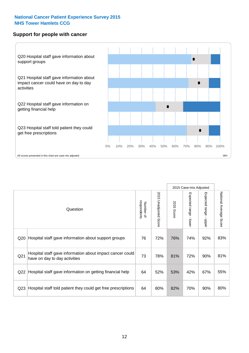#### **Support for people with cancer**



|                 |                                                                                            |                          |                                 |               | 2015 Case-mix Adjusted  |                                         |                        |
|-----------------|--------------------------------------------------------------------------------------------|--------------------------|---------------------------------|---------------|-------------------------|-----------------------------------------|------------------------|
|                 | Question                                                                                   | respondents<br>Number of | 2015<br><b>Unadjusted Score</b> | 2015<br>Score | Expected range<br>lower | Expected range<br>$\mathbf{I}$<br>nbber | National Average Score |
| Q20             | Hospital staff gave information about support groups                                       | 76                       | 72%                             | 76%           | 74%                     | 92%                                     | 83%                    |
| Q <sub>21</sub> | Hospital staff gave information about impact cancer could<br>have on day to day activities | 73                       | 78%                             | 81%           | 72%                     | 90%                                     | 81%                    |
| Q22             | Hospital staff gave information on getting financial help                                  | 64                       | 52%                             | 53%           | 42%                     | 67%                                     | 55%                    |
| Q <sub>23</sub> | Hospital staff told patient they could get free prescriptions                              | 64                       | 80%                             | 82%           | 70%                     | 90%                                     | 80%                    |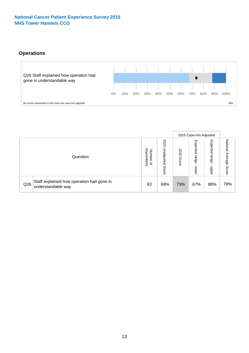### **Operations**



|     |                                                                 |                                              |                             |                   | 2015 Case-mix Adjusted     |                          |                              |
|-----|-----------------------------------------------------------------|----------------------------------------------|-----------------------------|-------------------|----------------------------|--------------------------|------------------------------|
|     | Question                                                        | respondents<br>Number<br>$\overline{\sigma}$ | 2015<br>Unadjusted<br>Score | 201<br>c<br>Score | Expected<br>range<br>lower | Expected<br>range<br>ddo | National<br>Average<br>Score |
| Q26 | Staff explained how operation had gone in<br>understandable way | 63                                           | 68%                         | 73%               | 67%                        | 88%                      | 78%                          |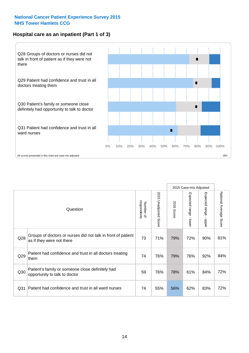#### **Hospital care as an inpatient (Part 1 of 3)**



All scores presented in this chart are case-mix adjusted (98V) and the extent of the second percentage scores presented in this chart are case-mix adjusted (98V) and the scores presented in this chart are case-mix adjusted

|                 |                                                                                           |                          |                       |                      | 2015 Case-mix Adjusted                    |                                           |                        |
|-----------------|-------------------------------------------------------------------------------------------|--------------------------|-----------------------|----------------------|-------------------------------------------|-------------------------------------------|------------------------|
|                 | Question                                                                                  | respondents<br>Number of | 2015 Unadjusted Score | 2015<br><b>Score</b> | Expected range<br>$\blacksquare$<br>lower | Expected range<br>$\blacksquare$<br>nbber | National Average Score |
| Q28             | Groups of doctors or nurses did not talk in front of patient<br>as if they were not there | 73                       | 71%                   | 79%                  | 72%                                       | 90%                                       | 81%                    |
| Q29             | Patient had confidence and trust in all doctors treating<br>them                          | 74                       | 76%                   | 79%                  | 76%                                       | 92%                                       | 84%                    |
| Q30             | Patient's family or someone close definitely had<br>opportunity to talk to doctor         | 59                       | 76%                   | 78%                  | 61%                                       | 84%                                       | 72%                    |
| Q <sub>31</sub> | Patient had confidence and trust in all ward nurses                                       | 74                       | 55%                   | 56%                  | 62%                                       | 83%                                       | 72%                    |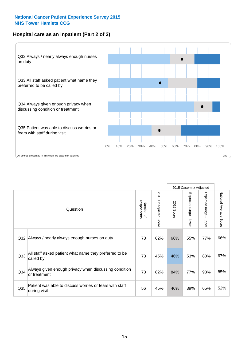#### **Hospital care as an inpatient (Part 2 of 3)**



2015 Case-mix Adjusted National Average Score 2015 Unadjusted Score Expected range - lower Expected range - upper 2015 Unadjusted Score Expected range - upper Expected range - lower Number of<br>respondents respondents 2015 Score 2015 Score Number of Question Q32 73 62% 66% 55% 77% Always / nearly always enough nurses on duty 66% Q33 73 45% 46% 53% 80% All staff asked patient what name they preferred to be called by 67% Q34 73 82% 84% 77% 93% Always given enough privacy when discussing condition or treatment 85% Patient was able to discuss worries or fears with staff during visit during visit  $\frac{32\%}{1000}$  of  $\frac{32\%}{1000}$  of  $\frac{32\%}{1000}$  of  $\frac{32\%}{1000}$  of  $\frac{32\%}{1000}$  of  $\frac{32\%}{1000}$  of  $\frac{32\%}{1000}$  of  $\frac{32\%}{1000}$  of  $\frac{32\%}{1000}$  of  $\frac{32\%}{1000}$  of  $\frac{3$ Q35 during visit **180 cm and all contracts** with the contracts and the contracts of the contracts of the contracts of the contracts of the contracts of the contracts of the contracts of the contracts of the contracts of th

National Average Score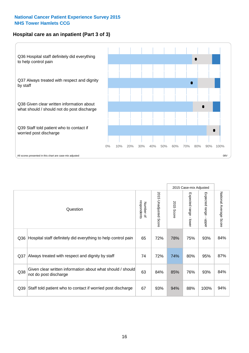#### **Hospital care as an inpatient (Part 3 of 3)**



|                 |                                                                                     |                          |                                 |               | 2015 Case-mix Adjusted  |                        |                        |
|-----------------|-------------------------------------------------------------------------------------|--------------------------|---------------------------------|---------------|-------------------------|------------------------|------------------------|
|                 | Question                                                                            | respondents<br>Number of | 2015<br><b>Unadjusted Score</b> | 2015<br>Score | Expected range<br>lower | Expected range - upper | National Average Score |
| Q36             | Hospital staff definitely did everything to help control pain                       | 65                       | 72%                             | 78%           | 75%                     | 93%                    | 84%                    |
| Q <sub>37</sub> | Always treated with respect and dignity by staff                                    | 74                       | 72%                             | 74%           | 80%                     | 95%                    | 87%                    |
| Q38             | Given clear written information about what should / should<br>not do post discharge | 63                       | 84%                             | 85%           | 76%                     | 93%                    | 84%                    |
| Q39             | Staff told patient who to contact if worried post discharge                         | 67                       | 93%                             | 94%           | 88%                     | 100%                   | 94%                    |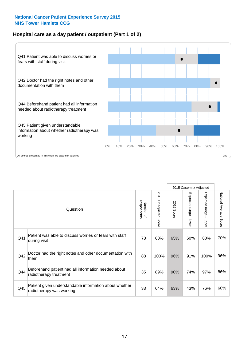#### **Hospital care as a day patient / outpatient (Part 1 of 2)**



|     |                                                                                    |                          |                                 |                      | 2015 Case-mix Adjusted                    |                                           |                        |
|-----|------------------------------------------------------------------------------------|--------------------------|---------------------------------|----------------------|-------------------------------------------|-------------------------------------------|------------------------|
|     | Question                                                                           | respondents<br>Number of | 2015<br><b>Unadjusted Score</b> | 2015<br><b>Score</b> | Expected range<br>$\blacksquare$<br>lower | Expected range<br>$\blacksquare$<br>nbber | National Average Score |
| Q41 | Patient was able to discuss worries or fears with staff<br>during visit            | 78                       | 60%                             | 65%                  | 60%                                       | 80%                                       | 70%                    |
| Q42 | Doctor had the right notes and other documentation with<br>them                    | 88                       | 100%                            | 96%                  | 91%                                       | 100%                                      | 96%                    |
| Q44 | Beforehand patient had all information needed about<br>radiotherapy treatment      | 35                       | 89%                             | 90%                  | 74%                                       | 97%                                       | 86%                    |
| Q45 | Patient given understandable information about whether<br>radiotherapy was working | 33                       | 64%                             | 63%                  | 43%                                       | 76%                                       | 60%                    |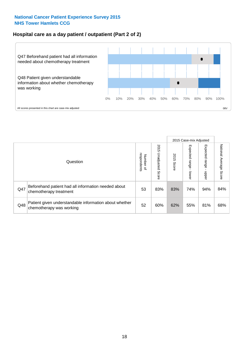#### **Hospital care as a day patient / outpatient (Part 2 of 2)**



|     |                                                                                    |                                       |                             |               |                              | 2015 Case-mix Adjusted  |                           |
|-----|------------------------------------------------------------------------------------|---------------------------------------|-----------------------------|---------------|------------------------------|-------------------------|---------------------------|
|     | Question                                                                           | respondents<br>Number<br>$\mathbf{Q}$ | 2015<br>Unadjusted<br>Score | 2015<br>Score | Expected<br>I range<br>lower | Expected range<br>doper | National Average<br>Score |
| Q47 | Beforehand patient had all information needed about<br>chemotherapy treatment      | 53                                    | 83%                         | 83%           | 74%                          | 94%                     | 84%                       |
| Q48 | Patient given understandable information about whether<br>chemotherapy was working | 52                                    | 60%                         | 62%           | 55%                          | 81%                     | 68%                       |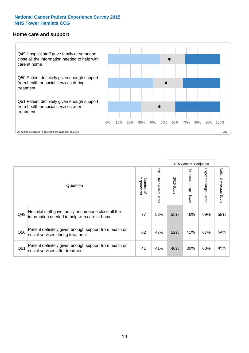#### **Home care and support**



All scores presented in this chart are case-mix adjusted

|     |                                                                                                     |                          |                       |               | 2015 Case-mix Adjusted       |                         |                                  |
|-----|-----------------------------------------------------------------------------------------------------|--------------------------|-----------------------|---------------|------------------------------|-------------------------|----------------------------------|
|     | Question                                                                                            | respondents<br>Number of | 2015 Unadjusted Score | 2015<br>Score | Expected<br>I range<br>lower | Expected range<br>nbber | National Average<br><b>Score</b> |
| Q49 | Hospital staff gave family or someone close all the<br>information needed to help with care at home | 77                       | 53%                   | 55%           | 46%                          | 69%                     | 58%                              |
| Q50 | Patient definitely given enough support from health or<br>social services during treatment          | 62                       | 47%                   | 52%           | 41%                          | 67%                     | 54%                              |
| Q51 | Patient definitely given enough support from health or<br>social services after treatment           | 41                       | 41%                   | 46%           | 30%                          | 60%                     | 45%                              |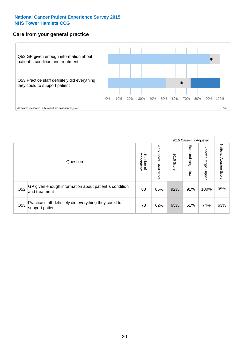#### **Care from your general practice**



|     |                                                                           |                                       |                             |               |                                   | 2015 Case-mix Adjusted     |                           |
|-----|---------------------------------------------------------------------------|---------------------------------------|-----------------------------|---------------|-----------------------------------|----------------------------|---------------------------|
|     | Question                                                                  | respondents<br>Number<br>$\mathbf{Q}$ | 2015<br>Unadjusted<br>Score | 2015<br>Score | Expected<br><b>Lange</b><br>lower | Expected<br>range<br>doper | National Average<br>Score |
| Q52 | GP given enough information about patient's condition<br>and treatment    | 88                                    | 85%                         | 92%           | 91%                               | 100%                       | 95%                       |
| Q53 | Practice staff definitely did everything they could to<br>support patient | 73                                    | 62%                         | 65%           | 51%                               | 74%                        | 63%                       |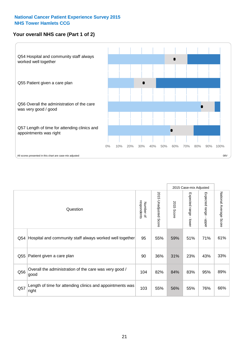#### **Your overall NHS care (Part 1 of 2)**



|     |                                                                    |                          |                                 | 2015 Case-mix Adjusted |                                         |                                           |                        |
|-----|--------------------------------------------------------------------|--------------------------|---------------------------------|------------------------|-----------------------------------------|-------------------------------------------|------------------------|
|     | Question                                                           | respondents<br>Number of | 2015<br><b>Unadjusted Score</b> | 2015<br><b>Score</b>   | Expected range<br>$\mathbf{I}$<br>lower | Expected range<br>$\blacksquare$<br>nbber | National Average Score |
| Q54 | Hospital and community staff always worked well together           | 95                       | 55%                             | 59%                    | 51%                                     | 71%                                       | 61%                    |
| Q55 | Patient given a care plan                                          | 90                       | 36%                             | 31%                    | 23%                                     | 43%                                       | 33%                    |
| Q56 | Overall the administration of the care was very good /<br>good     | 104                      | 82%                             | 84%                    | 83%                                     | 95%                                       | 89%                    |
| Q57 | Length of time for attending clinics and appointments was<br>right | 103                      | 55%                             | 56%                    | 55%                                     | 76%                                       | 66%                    |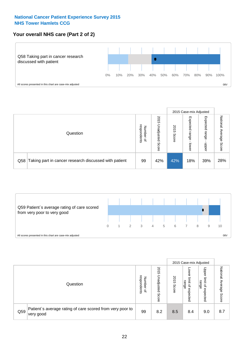#### **Your overall NHS care (Part 2 of 2)**



|     |                                                       |                                         |                             |               |                            | 2015 Case-mix Adjusted     |                        |
|-----|-------------------------------------------------------|-----------------------------------------|-----------------------------|---------------|----------------------------|----------------------------|------------------------|
|     | Question                                              | respondents<br>Number<br>$\overline{a}$ | 2015<br>Jnadjusted<br>Score | 2015<br>Score | Expected<br>range<br>lower | Expected<br>range<br>doper | National Average Score |
| Q58 | Taking part in cancer research discussed with patient | 99                                      | 42%                         | 42%           | 18%                        | 39%                        | 28%                    |



|     |                                                                        |                                              |                             |               |                                         | 2015 Case-mix Adjusted                   |                              |
|-----|------------------------------------------------------------------------|----------------------------------------------|-----------------------------|---------------|-----------------------------------------|------------------------------------------|------------------------------|
|     | Question                                                               | respondents<br>Number<br>$\overline{\sigma}$ | 2015<br>Jnadjusted<br>Score | 2015<br>Score | OWer<br>limit<br>range<br>₽<br>expected | Upper<br>limit<br>range<br>õ<br>expected | National<br>Average<br>Score |
| Q59 | Patient's average rating of care scored from very poor to<br>very good | 99                                           | 8.2                         | 8.5           | 8.4                                     | 9.0                                      | 8.7                          |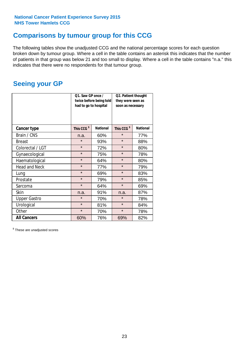### **Comparisons by tumour group for this CCG**

The following tables show the unadjusted CCG and the national percentage scores for each question broken down by tumour group. Where a cell in the table contains an asterisk this indicates that the number of patients in that group was below 21 and too small to display. Where a cell in the table contains "n.a." this indicates that there were no respondents for that tumour group.

### **Seeing your GP**

|                      | Q1. Saw GP once /<br>had to go to hospital | twice before being told | Q2. Patient thought<br>they were seen as<br>soon as necessary |                 |  |
|----------------------|--------------------------------------------|-------------------------|---------------------------------------------------------------|-----------------|--|
| <b>Cancer type</b>   | This CCG <sup>\$</sup>                     | <b>National</b>         | This CCG <sup>\$</sup>                                        | <b>National</b> |  |
| Brain / CNS          | n.a.                                       | 60%                     | $\star$                                                       | 77%             |  |
| <b>Breast</b>        | $\star$                                    | 93%                     | $\star$                                                       | 88%             |  |
| Colorectal / LGT     | $\star$                                    | 72%                     | $\star$                                                       | 80%             |  |
| Gynaecological       | $\star$                                    | 75%                     | $\star$                                                       | 78%             |  |
| Haematological       | $\star$                                    | 64%                     | $\star$                                                       | 80%             |  |
| <b>Head and Neck</b> | $\star$                                    | 77%                     | $\star$                                                       | 79%             |  |
| Lung                 | $\star$                                    | 69%                     | $\star$                                                       | 83%             |  |
| Prostate             | $\star$                                    | 79%                     | $\star$                                                       | 85%             |  |
| Sarcoma              | $\star$                                    | 64%                     | $\star$                                                       | 69%             |  |
| Skin                 | n.a.                                       | 91%                     | n.a.                                                          | 87%             |  |
| <b>Upper Gastro</b>  | $\star$                                    | 70%                     | $\star$                                                       | 78%             |  |
| Urological           | $\star$                                    | 81%                     | $\star$                                                       | 84%             |  |
| Other                | $\star$                                    | 70%                     | $\star$                                                       | 78%             |  |
| <b>All Cancers</b>   | 60%                                        | 76%                     | 69%                                                           | 82%             |  |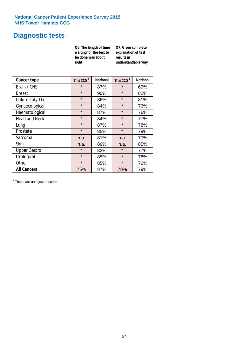## **Diagnostic tests**

|                      | be done was about<br>right | Q6. The length of time<br>waiting for the test to | Q7. Given complete<br>explanation of test<br>results in<br>understandable way |                 |  |
|----------------------|----------------------------|---------------------------------------------------|-------------------------------------------------------------------------------|-----------------|--|
| <b>Cancer type</b>   | This CCG <sup>\$</sup>     | <b>National</b>                                   | This CCG <sup>\$</sup>                                                        | <b>National</b> |  |
| Brain / CNS          | $\star$                    | 87%                                               | $\star$                                                                       | 69%             |  |
| <b>Breast</b>        | $\star$                    | 90%                                               | $\star$                                                                       | 82%             |  |
| Colorectal / LGT     | $\star$                    | 86%                                               | $\star$                                                                       | 81%             |  |
| Gynaecological       | $\star$                    | 84%                                               | $\star$                                                                       | 76%             |  |
| Haematological       | $\star$                    | 87%                                               | $\star$                                                                       | 76%             |  |
| <b>Head and Neck</b> | $\star$                    | 84%                                               | $\star$                                                                       | 77%             |  |
| Lung                 | $\star$                    | 87%                                               | $\star$                                                                       | 78%             |  |
| Prostate             | $\star$                    | 85%                                               | $\star$                                                                       | 79%             |  |
| Sarcoma              | n.a.                       | 81%                                               | n.a.                                                                          | 77%             |  |
| Skin                 | n.a.                       | 89%                                               | n.a.                                                                          | 85%             |  |
| <b>Upper Gastro</b>  | $\star$                    | 83%                                               | $\star$                                                                       | 77%             |  |
| Urological           | $\star$                    | 85%                                               | $\star$                                                                       | 78%             |  |
| Other                | $\star$                    | 85%                                               | $\star$                                                                       | 76%             |  |
| <b>All Cancers</b>   | 75%                        | 87%                                               | 78%                                                                           | 79%             |  |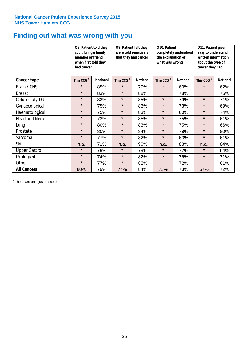## **Finding out what was wrong with you**

|                      | Q8. Patient told they<br>could bring a family<br>member or friend<br>when first told they<br>had cancer |                 | Q9. Patient felt they<br>were told sensitively<br>that they had cancer |                 | Q10. Patient<br>completely understood<br>the explanation of<br>what was wrong |                 | Q11. Patient given<br>easy to understand<br>written information<br>about the type of<br>cancer they had |                 |
|----------------------|---------------------------------------------------------------------------------------------------------|-----------------|------------------------------------------------------------------------|-----------------|-------------------------------------------------------------------------------|-----------------|---------------------------------------------------------------------------------------------------------|-----------------|
| Cancer type          | This CCG <sup>\$</sup>                                                                                  | <b>National</b> | This CCG <sup>\$</sup>                                                 | <b>National</b> | This CCG <sup>\$</sup>                                                        | <b>National</b> | This CCG <sup>\$</sup>                                                                                  | <b>National</b> |
| Brain / CNS          | $\star$                                                                                                 | 85%             | $\star$                                                                | 79%             | $\star$                                                                       | 60%             | $\star$                                                                                                 | 62%             |
| <b>Breast</b>        | $\star$                                                                                                 | 83%             | $\star$                                                                | 88%             | $\star$                                                                       | 78%             | $\star$                                                                                                 | 76%             |
| Colorectal / LGT     | $\star$                                                                                                 | 83%             | $\star$                                                                | 85%             | $\star$                                                                       | 79%             | $\star$                                                                                                 | 71%             |
| Gynaecological       | $\star$                                                                                                 | 75%             | $\star$                                                                | 83%             | $\star$                                                                       | 73%             | $\star$                                                                                                 | 69%             |
| Haematological       | $\star$                                                                                                 | 75%             | $\star$                                                                | 83%             | $\star$                                                                       | 60%             | $\star$                                                                                                 | 74%             |
| <b>Head and Neck</b> | $\star$                                                                                                 | 73%             | $\star$                                                                | 85%             | $\star$                                                                       | 75%             | $\star$                                                                                                 | 61%             |
| Lung                 | $\star$                                                                                                 | 80%             | $\star$                                                                | 83%             | $\star$                                                                       | 75%             | $\star$                                                                                                 | 66%             |
| Prostate             | $\star$                                                                                                 | 80%             | $\star$                                                                | 84%             | $\star$                                                                       | 78%             | $\star$                                                                                                 | 80%             |
| Sarcoma              | $\star$                                                                                                 | 77%             | $\star$                                                                | 82%             | $\star$                                                                       | 63%             | $\star$                                                                                                 | 61%             |
| Skin                 | n.a.                                                                                                    | 71%             | n.a.                                                                   | 90%             | n.a.                                                                          | 83%             | n.a.                                                                                                    | 84%             |
| <b>Upper Gastro</b>  | $\star$                                                                                                 | 79%             | $\star$                                                                | 79%             | $\star$                                                                       | 72%             | $\star$                                                                                                 | 64%             |
| Urological           | $\star$                                                                                                 | 74%             | $\star$                                                                | 82%             | $\star$                                                                       | 76%             | $\star$                                                                                                 | 71%             |
| Other                | $\star$                                                                                                 | 77%             | $\star$                                                                | 82%             | $\star$                                                                       | 72%             | $\star$                                                                                                 | 61%             |
| <b>All Cancers</b>   | 80%                                                                                                     | 79%             | 74%                                                                    | 84%             | 73%                                                                           | 73%             | 67%                                                                                                     | 72%             |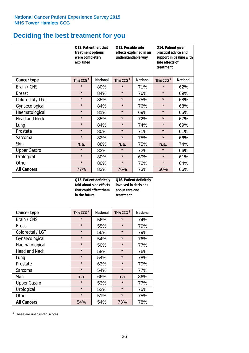## **Deciding the best treatment for you**

|                      | treatment options<br>were completely<br>explained | Q12. Patient felt that | Q13. Possible side<br>understandable way | effects explained in an | Q14. Patient given<br>practical advice and<br>support in dealing with<br>side effects of<br>treatment |                 |  |
|----------------------|---------------------------------------------------|------------------------|------------------------------------------|-------------------------|-------------------------------------------------------------------------------------------------------|-----------------|--|
| <b>Cancer type</b>   | This CCG <sup>\$</sup>                            | <b>National</b>        | This CCG <sup>\$</sup>                   | <b>National</b>         | This CCG <sup>\$</sup>                                                                                | <b>National</b> |  |
| Brain / CNS          | $\star$                                           | 80%                    | $\star$                                  | 71%                     | $\star$                                                                                               | 62%             |  |
| <b>Breast</b>        | $\star$                                           | 84%                    | $\star$                                  | 76%                     | $\star$                                                                                               | 69%             |  |
| Colorectal / LGT     | $\star$                                           | 85%                    | $\star$                                  | 75%                     | $\star$                                                                                               | 68%             |  |
| Gynaecological       | $\star$                                           | 84%                    | $\star$                                  | 76%                     | $\star$                                                                                               | 68%             |  |
| Haematological       | $\star$                                           | 81%                    | $\star$                                  | 69%                     | $\star$                                                                                               | 65%             |  |
| <b>Head and Neck</b> | $\star$                                           | 85%                    | $\star$                                  | 72%                     | $\star$                                                                                               | 67%             |  |
| Lung                 | $\star$                                           | 84%                    | $\star$                                  | 74%                     | $\star$                                                                                               | 69%             |  |
| Prostate             | $\star$                                           | 80%                    | $\star$                                  | 71%                     | $\star$                                                                                               | 61%             |  |
| Sarcoma              | $\star$                                           | 82%                    | $\star$                                  | 75%                     | $\star$                                                                                               | 66%             |  |
| Skin                 | n.a.                                              | 88%                    | n.a.                                     | 75%                     | n.a.                                                                                                  | 74%             |  |
| <b>Upper Gastro</b>  | $\star$                                           | 83%                    | $\star$                                  | 72%                     | $\star$                                                                                               | 66%             |  |
| Urological           | $\star$                                           | 80%                    | $\star$                                  | 69%                     | $\star$                                                                                               | 61%             |  |
| Other                | $\star$                                           | 80%                    | $\star$<br>72%                           |                         | $\star$                                                                                               | 64%             |  |
| <b>All Cancers</b>   | 77%                                               | 83%                    | 76%                                      | 73%                     | 60%                                                                                                   | 66%             |  |

|                      | in the future          | Q15. Patient definitely<br>told about side effects<br>that could affect them | Q16. Patient definitely<br>involved in decisions<br>about care and<br>treatment |                 |  |
|----------------------|------------------------|------------------------------------------------------------------------------|---------------------------------------------------------------------------------|-----------------|--|
| <b>Cancer type</b>   | This CCG <sup>\$</sup> | <b>National</b>                                                              | This CCG <sup>\$</sup>                                                          | <b>National</b> |  |
| Brain / CNS          | $\star$                | 56%                                                                          | $\star$                                                                         | 74%             |  |
| <b>Breast</b>        | $\star$                | 55%                                                                          | $\star$                                                                         | 79%             |  |
| Colorectal / LGT     | $\star$                | 56%                                                                          | $\star$                                                                         | 79%             |  |
| Gynaecological       | $\star$<br>54%         |                                                                              | $\star$                                                                         | 76%             |  |
| Haematological       | $\star$<br>50%         |                                                                              | $\star$                                                                         | 77%             |  |
| <b>Head and Neck</b> | $\star$                | 58%                                                                          | $\star$                                                                         | 76%             |  |
| Lung                 | $\star$                | 54%                                                                          | $\star$                                                                         | 78%             |  |
| Prostate             | $\star$                | 63%                                                                          | $\star$                                                                         | 79%             |  |
| Sarcoma              | $\star$                | 54%                                                                          | $\star$                                                                         | 77%             |  |
| Skin                 | n.a.                   | 66%                                                                          | n.a.                                                                            | 86%             |  |
| <b>Upper Gastro</b>  | $\star$                | 53%                                                                          | $\star$                                                                         | 77%             |  |
| Urological           | $\star$                | 52%                                                                          | $\star$                                                                         | 75%             |  |
| Other                | $\star$                | 51%                                                                          | $\star$                                                                         | 75%             |  |
| <b>All Cancers</b>   | 54%                    | 54%                                                                          | 73%                                                                             | 78%             |  |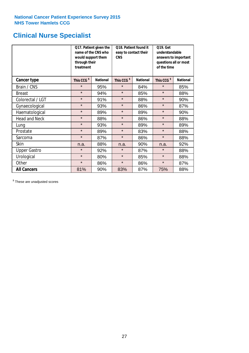## **Clinical Nurse Specialist**

|                     | would support them<br>through their<br>treatment | Q17. Patient given the<br>name of the CNS who | Q18. Patient found it<br>easy to contact their<br><b>CNS</b> |                 | <b>Q19. Get</b><br>understandable<br>answers to important<br>questions all or most<br>of the time |                 |  |
|---------------------|--------------------------------------------------|-----------------------------------------------|--------------------------------------------------------------|-----------------|---------------------------------------------------------------------------------------------------|-----------------|--|
| <b>Cancer type</b>  | This CCG <sup>\$</sup>                           | <b>National</b>                               | This CCG <sup>\$</sup>                                       | <b>National</b> | This CCG <sup>\$</sup>                                                                            | <b>National</b> |  |
| Brain / CNS         | $\star$                                          | 95%                                           | $\star$                                                      | 84%             | $\star$                                                                                           | 85%             |  |
| <b>Breast</b>       | $\star$                                          | 94%                                           | $\star$                                                      | 85%             | $\star$                                                                                           | 88%             |  |
| Colorectal / LGT    | $\star$                                          | 91%                                           | $\star$                                                      | 88%             | $\star$                                                                                           | 90%             |  |
| Gynaecological      | $\star$                                          | 93%                                           | $\star$                                                      | 86%             | $\star$                                                                                           | 87%             |  |
| Haematological      | $\star$                                          | 89%                                           | $\star$                                                      | 89%             | $\star$                                                                                           | 90%             |  |
| Head and Neck       | $\star$                                          | 88%                                           | $\star$                                                      | 86%             | $\star$                                                                                           | 88%             |  |
| Lung                | $\star$                                          | 93%                                           | $\star$                                                      | 89%             | $\star$                                                                                           | 89%             |  |
| Prostate            | $\star$                                          | 89%                                           | $\star$                                                      | 83%             | $\star$                                                                                           | 88%             |  |
| Sarcoma             | $\star$                                          | 87%                                           | $\star$                                                      | 86%             | $\star$                                                                                           | 88%             |  |
| Skin                | n.a.                                             | 88%                                           | n.a.                                                         | 90%             | n.a.                                                                                              | 92%             |  |
| <b>Upper Gastro</b> | $\star$                                          | 92%                                           | $\star$                                                      | 87%             | $\star$                                                                                           | 88%             |  |
| Urological          | $\star$                                          | 80%                                           | $\star$                                                      | 85%             | $\star$                                                                                           | 88%             |  |
| Other               | $\star$                                          | 86%                                           | $\star$                                                      | 86%             | $\star$                                                                                           | 87%             |  |
| <b>All Cancers</b>  | 81%                                              | 90%                                           | 83%                                                          | 87%             | 75%                                                                                               | 88%             |  |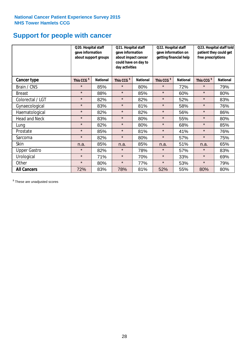## **Support for people with cancer**

|                      | Q20. Hospital staff<br>gave information | about support groups | Q21. Hospital staff<br>gave information<br>about impact cancer<br>could have on day to<br>day activities |                 | Q22. Hospital staff<br>gave information on<br>getting financial help |                 | Q23. Hospital staff told<br>patient they could get<br>free prescriptions |                 |
|----------------------|-----------------------------------------|----------------------|----------------------------------------------------------------------------------------------------------|-----------------|----------------------------------------------------------------------|-----------------|--------------------------------------------------------------------------|-----------------|
| Cancer type          | This CCG <sup>\$</sup>                  | <b>National</b>      | This CCG <sup>\$</sup>                                                                                   | <b>National</b> | This CCG <sup>\$</sup>                                               | <b>National</b> | This CCG <sup>\$</sup>                                                   | <b>National</b> |
| Brain / CNS          | $\star$                                 | 85%                  | $\star$                                                                                                  | 80%             | $\star$                                                              | 72%             | $\star$                                                                  | 79%             |
| <b>Breast</b>        | $\star$                                 | 88%                  | $\star$                                                                                                  | 85%             | $\star$                                                              | 60%             | $\star$                                                                  | 80%             |
| Colorectal / LGT     | $\star$                                 | 82%                  | $\star$                                                                                                  | 82%             | $\star$                                                              | 52%             | $\star$                                                                  | 83%             |
| Gynaecological       | $\star$                                 | 83%                  | $\star$                                                                                                  | 81%             | $\star$                                                              | 58%             | $\star$                                                                  | 76%             |
| Haematological       | $\star$                                 | 82%                  | $\star$                                                                                                  | 82%             | $\star$                                                              | 56%             | $\star$                                                                  | 86%             |
| <b>Head and Neck</b> | $\star$                                 | 83%                  | $\star$                                                                                                  | 80%             | $\star$                                                              | 55%             | $\star$                                                                  | 80%             |
| Lung                 | $\star$                                 | 82%                  | $\star$                                                                                                  | 80%             | $\star$                                                              | 68%             | $\star$                                                                  | 85%             |
| Prostate             | $\star$                                 | 85%                  | $\star$                                                                                                  | 81%             | $\star$                                                              | 41%             | $\star$                                                                  | 76%             |
| Sarcoma              | $\star$                                 | 82%                  | $\star$                                                                                                  | 80%             | $\star$                                                              | 57%             | $\star$                                                                  | 75%             |
| Skin                 | n.a.                                    | 85%                  | n.a.                                                                                                     | 85%             | n.a.                                                                 | 51%             | n.a.                                                                     | 65%             |
| <b>Upper Gastro</b>  | $\star$                                 | 82%                  | $\star$                                                                                                  | 78%             | $\star$                                                              | 57%             | $\star$                                                                  | 83%             |
| Urological           | $\star$                                 | 71%                  | $\star$                                                                                                  | 70%             | $\star$                                                              | 33%             | $\star$                                                                  | 69%             |
| Other                | $\star$                                 | 80%                  | $\star$                                                                                                  | 77%             | $\star$                                                              | 53%             | $\star$                                                                  | 79%             |
| <b>All Cancers</b>   | 72%                                     | 83%                  | 78%                                                                                                      | 81%             | 52%                                                                  | 55%             | 80%                                                                      | 80%             |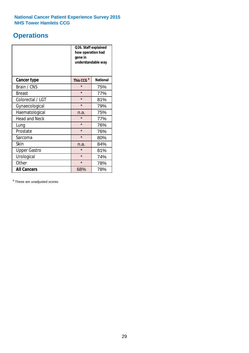## **Operations**

|                      | Q26. Staff explained<br>how operation had<br>gone in<br>understandable way |                 |  |  |
|----------------------|----------------------------------------------------------------------------|-----------------|--|--|
| <b>Cancer type</b>   | This CCG <sup>\$</sup>                                                     | <b>National</b> |  |  |
| Brain / CNS          | $\star$                                                                    | 75%             |  |  |
| <b>Breast</b>        | $\star$                                                                    | 77%             |  |  |
| Colorectal / LGT     | $\star$                                                                    | 81%             |  |  |
| Gynaecological       | $\star$                                                                    | 79%             |  |  |
| Haematological       | n.a.                                                                       | 75%             |  |  |
| <b>Head and Neck</b> | $\star$                                                                    | 77%             |  |  |
| Lung                 | $\star$                                                                    | 76%             |  |  |
| Prostate             | $\star$                                                                    | 76%             |  |  |
| Sarcoma              | $\star$                                                                    | 80%             |  |  |
| Skin                 | n.a.                                                                       | 84%             |  |  |
| <b>Upper Gastro</b>  | $\star$                                                                    | 81%             |  |  |
| Urological           | $\star$                                                                    | 74%             |  |  |
| Other                | $\star$<br>78%                                                             |                 |  |  |
| <b>All Cancers</b>   | 68%                                                                        | 78%             |  |  |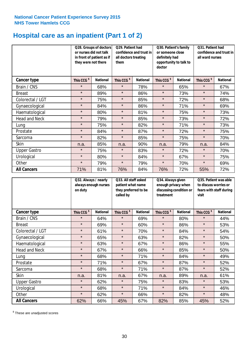## **Hospital care as an inpatient (Part 1 of 2)**

|                     |                        | Q28. Groups of doctors<br>Q29. Patient had<br>or nurses did not talk<br>confidence and trust in<br>in front of patient as if<br>all doctors treating<br>they were not there<br>them |                        |                 | Q30. Patient's family<br>or someone close<br>definitely had<br>doctor | opportunity to talk to | Q31. Patient had<br>confidence and trust in I<br>all ward nurses |                 |
|---------------------|------------------------|-------------------------------------------------------------------------------------------------------------------------------------------------------------------------------------|------------------------|-----------------|-----------------------------------------------------------------------|------------------------|------------------------------------------------------------------|-----------------|
| Cancer type         | This CCG <sup>\$</sup> | <b>National</b>                                                                                                                                                                     | This CCG <sup>\$</sup> | <b>National</b> | This CCG <sup>\$</sup>                                                | <b>National</b>        | This CCG <sup>\$</sup>                                           | <b>National</b> |
| Brain / CNS         | $\star$                | 68%                                                                                                                                                                                 | $\star$                | 78%             | $\star$                                                               | 65%                    | $\star$                                                          | 67%             |
| <b>Breast</b>       | $\star$                | 89%                                                                                                                                                                                 | $\star$                | 86%             | $\star$                                                               | 73%                    | $\star$                                                          | 74%             |
| Colorectal / LGT    | $\star$                | 75%                                                                                                                                                                                 | $\star$                | 85%             | $\star$                                                               | 72%                    | $\star$                                                          | 68%             |
| Gynaecological      | $\star$                | 84%                                                                                                                                                                                 | $\star$                | 86%             | $\star$                                                               | 71%                    | $\star$                                                          | 69%             |
| Haematological      | $\star$                | 80%                                                                                                                                                                                 | $\star$                | 81%             | $\star$                                                               | 75%                    | $\star$                                                          | 73%             |
| Head and Neck       | $\star$                | 79%                                                                                                                                                                                 | $\star$                | 85%             | $\star$                                                               | 73%                    | $\star$                                                          | 72%             |
| Lung                | $\star$                | 75%                                                                                                                                                                                 | $\star$                | 82%             | $\star$                                                               | 71%                    | $\star$                                                          | 73%             |
| Prostate            | $\star$                | 84%                                                                                                                                                                                 | $\star$                | 87%             | $\star$                                                               | 72%                    | $\star$                                                          | 75%             |
| Sarcoma             | $\star$                | 82%                                                                                                                                                                                 | $\star$                | 85%             | $\star$                                                               | 75%                    | $\star$                                                          | 70%             |
| Skin                | n.a.                   | 85%                                                                                                                                                                                 | n.a.                   | 90%             | n.a.                                                                  | 79%                    | n.a.                                                             | 84%             |
| <b>Upper Gastro</b> | $\star$                | 75%                                                                                                                                                                                 | $\star$                | 83%             | $\star$                                                               | 72%                    | $\star$                                                          | 70%             |
| Urological          | $\star$                | 80%                                                                                                                                                                                 | $\star$                | 84%             | $\star$                                                               | 67%                    | $\star$                                                          | 75%             |
| Other               | $\star$                | 79%                                                                                                                                                                                 | $\star$                | 79%             | $\star$                                                               | 70%                    | $\star$                                                          | 69%             |
| <b>All Cancers</b>  | 71%                    | 81%                                                                                                                                                                                 | 76%                    | 84%             | 76%                                                                   | 72%                    | 55%                                                              | 72%             |

|                      | on duty                | Q32. Always / nearly<br>always enough nurses |                        | Q33. All staff asked<br>patient what name<br>they preferred to be<br>called by |                        | Q34. Always given<br>enough privacy when<br>discussing condition or<br>treatment |                        | Q35. Patient was able<br>to discuss worries or<br>fears with staff during<br>visit |  |
|----------------------|------------------------|----------------------------------------------|------------------------|--------------------------------------------------------------------------------|------------------------|----------------------------------------------------------------------------------|------------------------|------------------------------------------------------------------------------------|--|
| Cancer type          | This CCG <sup>\$</sup> | <b>National</b>                              | This CCG <sup>\$</sup> | <b>National</b>                                                                | This CCG <sup>\$</sup> | <b>National</b>                                                                  | This CCG <sup>\$</sup> | <b>National</b>                                                                    |  |
| Brain / CNS          | $\star$                | 64%                                          | $\star$                | 69%                                                                            | $\star$                | 80%                                                                              | $\star$                | 44%                                                                                |  |
| <b>Breast</b>        | $\star$                | 69%                                          | $\star$                | 60%                                                                            | $\star$                | 86%                                                                              | $\star$                | 53%                                                                                |  |
| Colorectal / LGT     | $\star$                | 61%                                          | $\star$                | 70%                                                                            | $\star$                | 84%                                                                              | $\star$                | 54%                                                                                |  |
| Gynaecological       | $\star$                | 65%                                          | $\star$                | 63%                                                                            | $\star$                | 82%                                                                              | $\star$                | 50%                                                                                |  |
| Haematological       | $\star$                | 63%                                          | $\star$                | 67%                                                                            | $\star$                | 86%                                                                              | $\star$                | 55%                                                                                |  |
| <b>Head and Neck</b> | $\star$                | 67%                                          | $\star$                | 66%                                                                            | $\star$                | 85%                                                                              | $\star$                | 50%                                                                                |  |
| Lung                 | $\star$                | 68%                                          | $\star$                | 71%                                                                            | $\star$                | 84%                                                                              | $\star$                | 49%                                                                                |  |
| Prostate             | $\star$                | 71%                                          | $\star$                | 67%                                                                            | $\star$                | 87%                                                                              | $\star$                | 52%                                                                                |  |
| Sarcoma              | $\star$                | 68%                                          | $\star$                | 71%                                                                            | $\star$                | 87%                                                                              | $\star$                | 52%                                                                                |  |
| Skin                 | n.a.                   | 81%                                          | n.a.                   | 67%                                                                            | n.a.                   | 89%                                                                              | n.a.                   | 61%                                                                                |  |
| <b>Upper Gastro</b>  | $\star$                | 62%                                          | $\star$                | 75%                                                                            | $\star$                | 83%                                                                              | $\star$                | 53%                                                                                |  |
| Urological           | $\star$                | 68%                                          | $\star$                | 71%                                                                            | $\star$                | 84%                                                                              | $\star$                | 46%                                                                                |  |
| Other                | $\star$                | 62%                                          | $\star$                | 66%                                                                            | $\star$                | 82%                                                                              | $\star$                | 48%                                                                                |  |
| <b>All Cancers</b>   | 62%                    | 66%                                          | 45%                    | 67%                                                                            | 82%                    | 85%                                                                              | 45%                    | 52%                                                                                |  |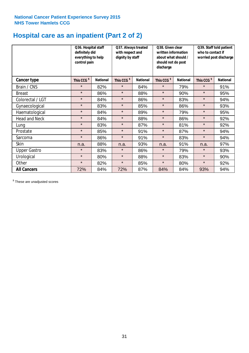## **Hospital care as an inpatient (Part 2 of 2)**

|                      | Q36. Hospital staff<br>definitely did<br>everything to help<br>control pain |                 | Q37. Always treated<br>with respect and<br>dignity by staff |                 | Q38. Given clear<br>written information<br>about what should /<br>should not do post<br>discharge |                 | Q39. Staff told patient<br>who to contact if<br>worried post discharge |                 |
|----------------------|-----------------------------------------------------------------------------|-----------------|-------------------------------------------------------------|-----------------|---------------------------------------------------------------------------------------------------|-----------------|------------------------------------------------------------------------|-----------------|
| Cancer type          | This CCG <sup>\$</sup>                                                      | <b>National</b> | This CCG <sup>\$</sup>                                      | <b>National</b> | This CCG <sup>\$</sup>                                                                            | <b>National</b> | This CCG <sup>\$</sup>                                                 | <b>National</b> |
| Brain / CNS          | $\star$                                                                     | 82%             | $\star$                                                     | 84%             | $\star$                                                                                           | 79%             | $\star$                                                                | 91%             |
| <b>Breast</b>        | $\star$                                                                     | 86%             | $\star$                                                     | 88%             | $\star$                                                                                           | 90%             | $\star$                                                                | 95%             |
| Colorectal / LGT     | $\star$                                                                     | 84%             | $\star$                                                     | 86%             | $\star$                                                                                           | 83%             | $\star$                                                                | 94%             |
| Gynaecological       | $\star$                                                                     | 83%             | $\star$                                                     | 85%             | $\star$                                                                                           | 86%             | $\star$                                                                | 93%             |
| Haematological       | $\star$                                                                     | 84%             | $\star$                                                     | 89%             | $\star$                                                                                           | 79%             | $\star$                                                                | 95%             |
| <b>Head and Neck</b> | $\star$                                                                     | 84%             | $\star$                                                     | 88%             | $\star$                                                                                           | 86%             | $\star$                                                                | 92%             |
| Lung                 | $\star$                                                                     | 83%             | $\star$                                                     | 87%             | $\star$                                                                                           | 81%             | $\star$                                                                | 92%             |
| Prostate             | $\star$                                                                     | 85%             | $\star$                                                     | 91%             | $\star$                                                                                           | 87%             | $\star$                                                                | 94%             |
| Sarcoma              | $\star$                                                                     | 86%             | $\star$                                                     | 91%             | $\star$                                                                                           | 83%             | $\star$                                                                | 94%             |
| Skin                 | n.a.                                                                        | 88%             | n.a.                                                        | 93%             | n.a.                                                                                              | 91%             | n.a.                                                                   | 97%             |
| <b>Upper Gastro</b>  | $\star$                                                                     | 83%             | $\star$                                                     | 86%             | $\star$                                                                                           | 79%             | $\star$                                                                | 93%             |
| Urological           | $\star$                                                                     | 80%             | $\star$                                                     | 88%             | $\star$                                                                                           | 83%             | $\star$                                                                | 90%             |
| Other                | $\star$                                                                     | 82%             | $\star$                                                     | 85%             | $\star$                                                                                           | 80%             | $\star$                                                                | 92%             |
| <b>All Cancers</b>   | 72%                                                                         | 84%             | 72%                                                         | 87%             | 84%                                                                                               | 84%             | 93%                                                                    | 94%             |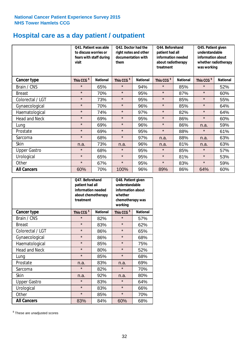## **Hospital care as a day patient / outpatient**

|                      | to discuss worries or<br>visit | Q41. Patient was able<br>fears with staff during | Q42. Doctor had the<br>right notes and other<br>documentation with<br>them |                 | Q44. Beforehand<br>patient had all<br>information needed<br>about radiotherapy<br>treatment |                 | Q45. Patient given<br>understandable<br>information about<br>whether radiotherapy<br>was working |                 |
|----------------------|--------------------------------|--------------------------------------------------|----------------------------------------------------------------------------|-----------------|---------------------------------------------------------------------------------------------|-----------------|--------------------------------------------------------------------------------------------------|-----------------|
| <b>Cancer type</b>   | This CCG <sup>\$</sup>         | <b>National</b>                                  | This CCG <sup>\$</sup>                                                     | <b>National</b> | This CCG <sup>\$</sup>                                                                      | <b>National</b> | This CCG <sup>\$</sup>                                                                           | <b>National</b> |
| Brain / CNS          | $\star$                        | 65%                                              | $\star$                                                                    | 94%             | $\star$                                                                                     | 85%             | $\star$                                                                                          | 52%             |
| <b>Breast</b>        | $\star$                        | 70%                                              | $\star$                                                                    | 95%             | $\star$                                                                                     | 87%             | $\star$                                                                                          | 60%             |
| Colorectal / LGT     | $\star$                        | 73%                                              | $\star$                                                                    | 95%             | $\star$                                                                                     | 85%             | $\star$                                                                                          | 55%             |
| Gynaecological       | $\star$                        | 70%                                              | $\star$                                                                    | 96%             | $\star$                                                                                     | 85%             | $\star$                                                                                          | 64%             |
| Haematological       | $\star$                        | 74%                                              | $\star$                                                                    | 97%             | $\star$                                                                                     | 82%             | $\star$                                                                                          | 64%             |
| <b>Head and Neck</b> | $\star$                        | 69%                                              | $\star$                                                                    | 95%             | $\star$                                                                                     | 86%             | $\star$                                                                                          | 60%             |
| Lung                 | $\star$                        | 69%                                              | $\star$                                                                    | 96%             | $\star$                                                                                     | 86%             | n.a.                                                                                             | 59%             |
| Prostate             | $\star$                        | 69%                                              | $\star$                                                                    | 95%             | $\star$                                                                                     | 88%             | $\star$                                                                                          | 61%             |
| Sarcoma              | $\star$                        | 68%                                              | $\star$                                                                    | 97%             | n.a.                                                                                        | 88%             | n.a.                                                                                             | 63%             |
| Skin                 | n.a.                           | 73%                                              | n.a.                                                                       | 96%             | n.a.                                                                                        | 81%             | n.a.                                                                                             | 63%             |
| <b>Upper Gastro</b>  | $\star$                        | 68%                                              | $\star$                                                                    | 95%             | $\star$                                                                                     | 85%             | $\star$                                                                                          | 57%             |
| Urological           | $\star$                        | 65%                                              | $\star$                                                                    | 95%             | $\star$                                                                                     | 81%             | $\star$                                                                                          | 53%             |
| Other                | $\star$                        | 67%                                              | $\star$                                                                    | 95%             | $\star$                                                                                     | 83%             | $\star$                                                                                          | 59%             |
| <b>All Cancers</b>   | 60%                            | 70%                                              | 100%                                                                       | 96%             | 89%                                                                                         | 86%             | 64%                                                                                              | 60%             |

|                      | Q47. Beforehand<br>patient had all<br>information needed<br>about chemotherapy<br>treatment |                 | Q48. Patient given<br>understandable<br>information about<br>whether<br>chemotherapy was<br>working |                 |  |
|----------------------|---------------------------------------------------------------------------------------------|-----------------|-----------------------------------------------------------------------------------------------------|-----------------|--|
| <b>Cancer type</b>   | This CCG <sup>\$</sup>                                                                      | <b>National</b> | This CCG <sup>\$</sup>                                                                              | <b>National</b> |  |
| Brain / CNS          | $\star$                                                                                     | 82%             | $\star$                                                                                             | 57%             |  |
| <b>Breast</b>        | $\star$                                                                                     | 83%             | $\star$                                                                                             | 62%             |  |
| Colorectal / LGT     | $\star$                                                                                     | 86%             | $\star$                                                                                             | 65%             |  |
| Gynaecological       | $\star$                                                                                     | 86%             | $\star$                                                                                             | 68%             |  |
| Haematological       | $\star$                                                                                     | 85%             | $\star$                                                                                             | 75%             |  |
| <b>Head and Neck</b> | $\star$                                                                                     | 80%             | $\star$                                                                                             | 52%             |  |
| Lung                 | $\star$                                                                                     | 85%             | $\star$                                                                                             | 68%             |  |
| Prostate             | n.a.                                                                                        | 83%             | n.a.                                                                                                | 69%             |  |
| Sarcoma              | $\star$                                                                                     | 82%             | $\star$                                                                                             | 70%             |  |
| Skin                 | n.a.                                                                                        | 92%             | n.a.                                                                                                | 80%             |  |
| <b>Upper Gastro</b>  | $\star$                                                                                     | 83%             | $\star$                                                                                             | 64%             |  |
| Urological           | $\star$                                                                                     | 83%             |                                                                                                     | 66%             |  |
| Other                | $\star$                                                                                     | 85%             | $\star$                                                                                             | 70%             |  |
| <b>All Cancers</b>   | 83%                                                                                         | 84%             | 60%                                                                                                 | 68%             |  |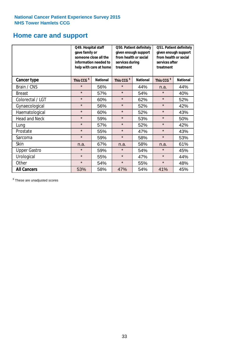### **Home care and support**

|                      | Q49. Hospital staff<br>gave family or                                                  | someone close all the<br>information needed to<br>help with care at home | Q50. Patient definitely<br>given enough support<br>from health or social<br>services during<br>treatment |                 | Q51. Patient definitely<br>given enough support<br>from health or social<br>services after<br>treatment |     |
|----------------------|----------------------------------------------------------------------------------------|--------------------------------------------------------------------------|----------------------------------------------------------------------------------------------------------|-----------------|---------------------------------------------------------------------------------------------------------|-----|
| <b>Cancer type</b>   | This CCG <sup>\$</sup><br><b>National</b><br>This CCG <sup>\$</sup><br><b>National</b> |                                                                          | This CCG <sup>\$</sup>                                                                                   | <b>National</b> |                                                                                                         |     |
| Brain / CNS          | $\star$                                                                                | 56%                                                                      | $\star$                                                                                                  | 44%             | n.a.                                                                                                    | 44% |
| <b>Breast</b>        | $\star$                                                                                | 57%                                                                      | $\star$                                                                                                  | 54%             | $\star$                                                                                                 | 40% |
| Colorectal / LGT     | $\star$                                                                                | 60%                                                                      | $\star$                                                                                                  | 62%             | $\star$                                                                                                 | 52% |
| Gynaecological       | $\star$                                                                                | 56%                                                                      | $\star$                                                                                                  | 52%             | $\star$                                                                                                 | 42% |
| Haematological       | $\star$                                                                                | 60%                                                                      | $\star$                                                                                                  | 52%             | $\star$                                                                                                 | 43% |
| <b>Head and Neck</b> | $\star$                                                                                | 59%                                                                      | $\star$                                                                                                  | 53%             | $\star$                                                                                                 | 50% |
| Lung                 | $\star$                                                                                | 57%                                                                      | $\star$                                                                                                  | 52%             | $\star$                                                                                                 | 42% |
| Prostate             | $\star$                                                                                | 55%                                                                      | $\star$                                                                                                  | 47%             | $\star$                                                                                                 | 43% |
| Sarcoma              | $\star$                                                                                | 59%                                                                      | $\star$                                                                                                  | 58%             | $\star$                                                                                                 | 53% |
| Skin                 | n.a.                                                                                   | 67%                                                                      | n.a.                                                                                                     | 58%             | n.a.                                                                                                    | 61% |
| <b>Upper Gastro</b>  | $\star$                                                                                | 59%                                                                      | $\star$                                                                                                  | 54%             | $\star$                                                                                                 | 45% |
| Urological           | $\star$                                                                                | 55%                                                                      | $\star$                                                                                                  | 47%             | $\star$                                                                                                 | 44% |
| Other                | $\star$                                                                                | 54%                                                                      | $\star$                                                                                                  | 55%             | $\star$                                                                                                 | 48% |
| <b>All Cancers</b>   | 53%                                                                                    | 58%                                                                      | 47%                                                                                                      | 54%             | 41%                                                                                                     | 45% |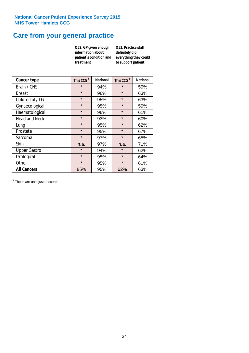### **Care from your general practice**

|                      | information about<br>treatment | Q52. GP given enough<br>patient's condition and | O53. Practice staff<br>definitely did<br>everything they could<br>to support patient |                 |  |
|----------------------|--------------------------------|-------------------------------------------------|--------------------------------------------------------------------------------------|-----------------|--|
| <b>Cancer type</b>   | This CCG <sup>\$</sup>         | <b>National</b>                                 | This CCG <sup>\$</sup>                                                               | <b>National</b> |  |
| Brain / CNS          | $\star$                        | 94%                                             | $\star$                                                                              | 59%             |  |
| <b>Breast</b>        | $\star$                        | 96%                                             | $\star$                                                                              | 63%             |  |
| Colorectal / LGT     | $\star$                        | 95%                                             | $\star$                                                                              | 63%             |  |
| Gynaecological       | $\star$                        | 95%                                             | $\star$                                                                              | 59%             |  |
| Haematological       | $\star$                        | 96%                                             | $\star$                                                                              | 61%             |  |
| <b>Head and Neck</b> | $\star$                        | 93%                                             | $\star$                                                                              | 60%             |  |
| Lung                 | $\star$                        | 95%                                             | $\star$                                                                              | 62%             |  |
| Prostate             | $\star$                        | 95%                                             | $\star$                                                                              | 67%             |  |
| Sarcoma              | $\star$                        | 97%                                             | $\star$                                                                              | 65%             |  |
| Skin                 | n.a.                           | 97%                                             | n.a.                                                                                 | 71%             |  |
| <b>Upper Gastro</b>  | $\star$<br>94%                 |                                                 | $\star$                                                                              | 62%             |  |
| Urological           | $\star$                        | 95%                                             | $\star$                                                                              | 64%             |  |
| Other                | $\star$                        | 95%                                             | $\star$                                                                              | 61%             |  |
| <b>All Cancers</b>   | 85%                            | 95%                                             | 62%                                                                                  | 63%             |  |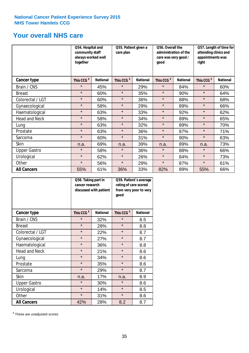### **Your overall NHS care**

|                      | Q54. Hospital and<br>community staff<br>always worked well<br>together |                 | Q55. Patient given a<br>care plan |                 | Q56. Overall the<br>administration of the<br>care was very good /<br>qood |                 | Q57. Length of time for<br>attending clinics and<br>appointments was<br>right |                 |
|----------------------|------------------------------------------------------------------------|-----------------|-----------------------------------|-----------------|---------------------------------------------------------------------------|-----------------|-------------------------------------------------------------------------------|-----------------|
| <b>Cancer type</b>   | This CCG <sup>\$</sup>                                                 | <b>National</b> | This CCG <sup>\$</sup>            | <b>National</b> | This CCG <sup>\$</sup>                                                    | <b>National</b> | This CCG <sup>\$</sup>                                                        | <b>National</b> |
| Brain / CNS          | $\star$                                                                | 45%             | $\star$                           | 29%             | $\star$                                                                   | 84%             | $\star$                                                                       | 60%             |
| <b>Breast</b>        | $\star$                                                                | 60%             | $\star$                           | 35%             | $\star$                                                                   | 90%             | $\star$                                                                       | 64%             |
| Colorectal / LGT     | $\star$                                                                | 60%             | $\star$                           | 36%             | $\star$                                                                   | 88%             | $\star$                                                                       | 68%             |
| Gynaecological       | $\star$                                                                | 58%             | $\star$                           | 29%             | $\star$                                                                   | 89%             | $\star$                                                                       | 66%             |
| Haematological       | $\star$                                                                | 63%             | $\star$                           | 33%             | $\star$                                                                   | 92%             | $\star$                                                                       | 62%             |
| <b>Head and Neck</b> | $\star$                                                                | 58%             | $\star$                           | 34%             | $\star$                                                                   | 89%             | $\star$                                                                       | 65%             |
| Lung                 | $\star$                                                                | 63%             | $\star$                           | 32%             | $\star$                                                                   | 89%             | $\star$                                                                       | 70%             |
| Prostate             | $\star$                                                                | 63%             | $\star$                           | 36%             | $\star$                                                                   | 87%             | $\star$                                                                       | 71%             |
| Sarcoma              | $\star$                                                                | 60%             | $\star$                           | 31%             | $\star$                                                                   | 90%             | $\star$                                                                       | 63%             |
| Skin                 | n.a.                                                                   | 69%             | n.a.                              | 39%             | n.a.                                                                      | 89%             | n.a.                                                                          | 73%             |
| <b>Upper Gastro</b>  | $\star$                                                                | 58%             | $\star$                           | 36%             | $\star$                                                                   | 88%             | $\star$                                                                       | 66%             |
| Urological           | $\star$                                                                | 62%             | $\star$                           | 26%             | $\star$                                                                   | 84%             | $\star$                                                                       | 73%             |
| Other                | $\star$                                                                | 56%             | $\star$                           | 29%             | $\star$                                                                   | 87%             | $\star$                                                                       | 61%             |
| <b>All Cancers</b>   | 55%                                                                    | 61%             | 36%                               | 33%             | 82%                                                                       | 89%             | 55%                                                                           | 66%             |

|                      | Q58. Taking part in<br>cancer research | discussed with patient | Q59. Patient's average<br>rating of care scored<br>from very poor to very<br>good |                 |  |
|----------------------|----------------------------------------|------------------------|-----------------------------------------------------------------------------------|-----------------|--|
| <b>Cancer type</b>   | This CCG <sup>\$</sup>                 | <b>National</b>        | This CCG <sup>\$</sup>                                                            | <b>National</b> |  |
| Brain / CNS          | $\star$                                | 32%                    | $\star$                                                                           | 8.5             |  |
| <b>Breast</b>        | $\star$                                | 28%                    | $\star$                                                                           | 8.8             |  |
| Colorectal / LGT     | $\star$                                | 22%                    | $\star$                                                                           | 8.7             |  |
| Gynaecological       | $\star$                                | 27%                    | $\star$                                                                           | 8.7             |  |
| Haematological       | $\star$                                | 36%                    | $\star$                                                                           | 8.8             |  |
| <b>Head and Neck</b> | $\star$                                | 21%                    | $\star$                                                                           | 8.6             |  |
| Lung                 | $\star$                                | 34%                    | $\star$                                                                           | 8.6             |  |
| Prostate             | $\star$                                | 35%                    | $\star$                                                                           | 8.6             |  |
| Sarcoma              | $\star$                                | 29%                    | $\star$                                                                           | 8.7             |  |
| Skin                 | n.a.                                   | 17%                    | n.a.                                                                              | 8.9             |  |
| <b>Upper Gastro</b>  | $\star$                                | 30%                    | $\star$                                                                           | 8.6             |  |
| Urological           | $\star$                                | 14%                    | $\star$                                                                           | 8.5             |  |
| Other                | $\star$                                | 31%                    | $\star$                                                                           | 8.6             |  |
| <b>All Cancers</b>   | 42%                                    | 28%                    | 8.2                                                                               | 8.7             |  |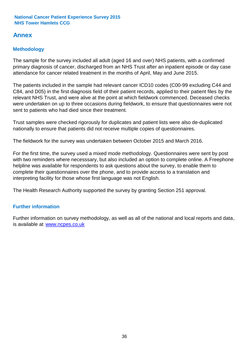### **Annex**

### **Methodology**

The sample for the survey included all adult (aged 16 and over) NHS patients, with a confirmed primary diagnosis of cancer, discharged from an NHS Trust after an inpatient episode or day case attendance for cancer related treatment in the months of April, May and June 2015.

The patients included in the sample had relevant cancer ICD10 codes (C00-99 excluding C44 and C84, and D05) in the first diagnosis field of their patient records, applied to their patient files by the relevant NHS Trust, and were alive at the point at which fieldwork commenced. Deceased checks were undertaken on up to three occasions during fieldwork, to ensure that questionnaires were not sent to patients who had died since their treatment.

Trust samples were checked rigorously for duplicates and patient lists were also de-duplicated nationally to ensure that patients did not receive multiple copies of questionnaires.

The fieldwork for the survey was undertaken between October 2015 and March 2016.

For the first time, the survey used a mixed mode methodology. Questionnaires were sent by post with two reminders where necesssary, but also included an option to complete online. A Freephone helpline was available for respondents to ask questions about the survey, to enable them to complete their questionnaires over the phone, and to provide access to a translation and interpreting facility for those whose first language was not English.

The Health Research Authority supported the survey by granting Section 251 approval.

#### **Further information**

Further information on survey methodology, as well as all of the national and local reports and data, is available at www.ncpes.co.uk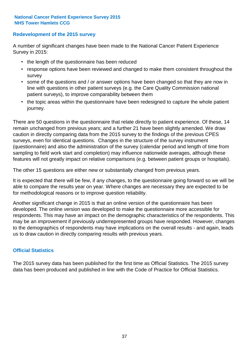#### **Redevelopment of the 2015 survey**

A number of significant changes have been made to the National Cancer Patient Experience Survey in 2015:

- the length of the questionnaire has been reduced
- response options have been reviewed and changed to make them consistent throughout the survey
- some of the questions and / or answer options have been changed so that they are now in line with questions in other patient surveys (e.g. the Care Quality Commission national patient surveys), to improve comparability between them
- the topic areas within the questionnaire have been redesigned to capture the whole patient journey.

There are 50 questions in the questionnaire that relate directly to patient experience. Of these, 14 remain unchanged from previous years; and a further 21 have been slightly amended. We draw caution in directly comparing data from the 2015 survey to the findings of the previous CPES surveys, even for identical questions. Changes in the structure of the survey instrument (questionnaire) and also the administration of the survey (calendar period and length of time from sampling to field work start and completion) may influence nationwide averages, although these features will not greatly impact on relative comparisons (e.g. between patient groups or hospitals).

The other 15 questions are either new or substantially changed from previous years.

It is expected that there will be few, if any changes, to the questionnaire going forward so we will be able to compare the results year on year. Where changes are necessary they are expected to be for methodological reasons or to improve question reliability.

Another significant change in 2015 is that an online version of the questionnaire has been developed. The online version was developed to make the questionnaire more accessible for respondents. This may have an impact on the demographic characteristics of the respondents. This may be an improvement if previously underrepresented groups have responded. However, changes to the demographics of respondents may have implications on the overall results - and again, leads us to draw caution in directly comparing results with previous years.

#### **Official Statistics**

The 2015 survey data has been published for the first time as Official Statistics. The 2015 survey data has been produced and published in line with the Code of Practice for Official Statistics.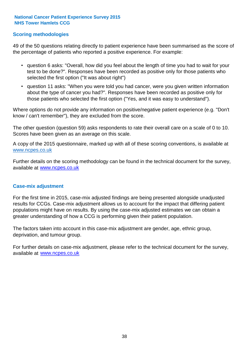#### **Scoring methodologies**

49 of the 50 questions relating directly to patient experience have been summarised as the score of the percentage of patients who reported a positive experience. For example:

- question 6 asks: "Overall, how did you feel about the length of time you had to wait for your test to be done?". Responses have been recorded as positive only for those patients who selected the first option ("It was about right")
- question 11 asks: "When you were told you had cancer, were you given written information about the type of cancer you had?". Responses have been recorded as positive only for those patients who selected the first option ("Yes, and it was easy to understand").

Where options do not provide any information on positive/negative patient experience (e.g. "Don't know / can't remember"), they are excluded from the score.

The other question (question 59) asks respondents to rate their overall care on a scale of 0 to 10. Scores have been given as an average on this scale.

A copy of the 2015 questionnaire, marked up with all of these scoring conventions, is available at www.ncpes.co.uk

Further details on the scoring methodology can be found in the technical document for the survey, available at <u>www.ncpes.co.uk</u>

#### **Case-mix adjustment**

For the first time in 2015, case-mix adjusted findings are being presented alongside unadjusted results for CCGs. Case-mix adjustment allows us to account for the impact that differing patient populations might have on results. By using the case-mix adjusted estimates we can obtain a greater understanding of how a CCG is performing given their patient population.

The factors taken into account in this case-mix adjustment are gender, age, ethnic group, deprivation, and tumour group.

For further details on case-mix adjustment, please refer to the technical document for the survey, available at www.ncpes.co.uk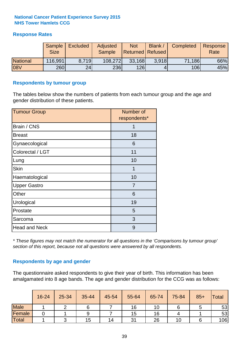#### **Response Rates**

|                 | Sample<br><b>Size</b> | <b>Excluded</b> | Adjusted<br><b>Sample</b> | <b>Not</b><br><b>Returned Refused</b> | Blank / | Completed | Response<br>Rate |
|-----------------|-----------------------|-----------------|---------------------------|---------------------------------------|---------|-----------|------------------|
| <b>National</b> | 116,991               | 8.719           | 108,272                   | 33,168                                | 3.918   | 71,186    | 66%              |
| <b>08V</b>      | 260                   | 24              | <b>236</b>                | 126                                   |         | 106       | 45%              |

#### **Respondents by tumour group**

The tables below show the numbers of patients from each tumour group and the age and gender distribution of these patients.

| <b>Tumour Group</b>  | Number of<br>respondents* |
|----------------------|---------------------------|
| Brain / CNS          |                           |
| <b>Breast</b>        | 18                        |
| Gynaecological       | 6                         |
| Colorectal / LGT     | 11                        |
| Lung                 | 10                        |
| <b>Skin</b>          | 1                         |
| Haematological       | 10                        |
| <b>Upper Gastro</b>  | $\overline{7}$            |
| Other                | 6                         |
| Urological           | 19                        |
| Prostate             | 5                         |
| Sarcoma              | 3                         |
| <b>Head and Neck</b> | 9                         |

*\* These figures may not match the numerator for all questions in the 'Comparisons by tumour group' section of this report, because not all questions were answered by all respondents.*

#### **Respondents by age and gender**

The questionnaire asked respondents to give their year of birth. This information has been amalgamated into 8 age bands. The age and gender distribution for the CCG was as follows:

|             | 16-24 | 25-34 | 35-44 | 45-54 | 55-64 | 65-74 | 75-84 | $85+$ | <b>Total</b> |
|-------------|-------|-------|-------|-------|-------|-------|-------|-------|--------------|
| <b>Male</b> |       |       |       |       | 16    | 10    |       |       | 53           |
| Female      |       |       | 9     |       | 15    | 16    |       |       | 53           |
| Total       |       |       | 15    | 14    | 31    | 26    | 10    |       | 106          |